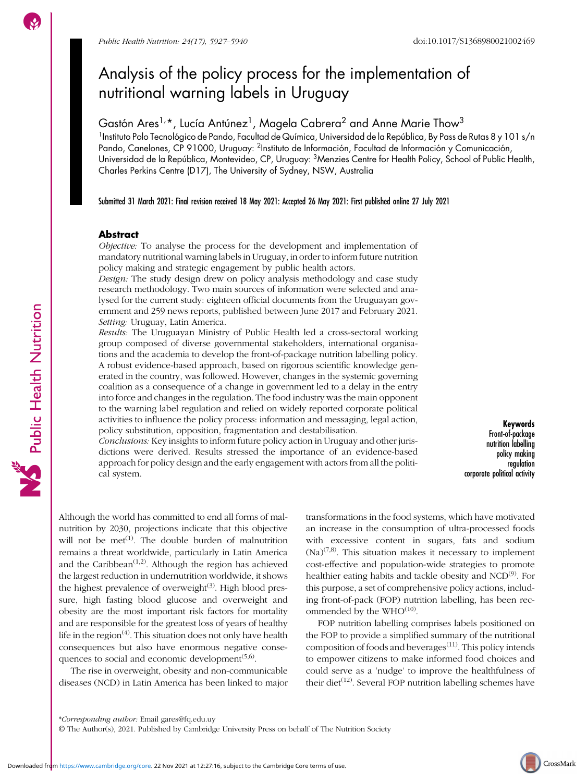# Analysis of the policy process for the implementation of nutritional warning labels in Uruguay

Gastón Ares $^{1,\,\star}$ , Lucía Antúnez $^{1}$ , Magela Cabrera $^{2}$  and Anne Marie Thow $^{3}$ <sup>1</sup>Instituto Polo Tecnológico de Pando, Facultad de Química, Universidad de la República, By Pass de Rutas 8 y 101 s/n Pando, Canelones, CP 91000, Uruguay: <sup>2</sup>Instituto de Información, Facultad de Información y Comunicación, Universidad de la República, Montevideo, CP, Uruguay: 3Menzies Centre for Health Policy, School of Public Health, Charles Perkins Centre (D17), The University of Sydney, NSW, Australia

Submitted 31 March 2021: Final revision received 18 May 2021: Accepted 26 May 2021: First published online 27 July 2021

# Abstract

Objective: To analyse the process for the development and implementation of mandatory nutritional warning labels in Uruguay, in order to inform future nutrition policy making and strategic engagement by public health actors.

Design: The study design drew on policy analysis methodology and case study research methodology. Two main sources of information were selected and analysed for the current study: eighteen official documents from the Uruguayan government and 259 news reports, published between June 2017 and February 2021. Setting: Uruguay, Latin America.

Results: The Uruguayan Ministry of Public Health led a cross-sectoral working group composed of diverse governmental stakeholders, international organisations and the academia to develop the front-of-package nutrition labelling policy. A robust evidence-based approach, based on rigorous scientific knowledge generated in the country, was followed. However, changes in the systemic governing coalition as a consequence of a change in government led to a delay in the entry into force and changes in the regulation. The food industry was the main opponent to the warning label regulation and relied on widely reported corporate political activities to influence the policy process: information and messaging, legal action, policy substitution, opposition, fragmentation and destabilisation.

Conclusions: Key insights to inform future policy action in Uruguay and other jurisdictions were derived. Results stressed the importance of an evidence-based approach for policy design and the early engagement with actors from all the political system.

Keywords Front-of-package nutrition labelling policy making regulation corporate political activity

Although the world has committed to end all forms of malnutrition by 2030, projections indicate that this objective will not be  $met^{(1)}$  $met^{(1)}$  $met^{(1)}$ . The double burden of malnutrition remains a threat worldwide, particularly in Latin America and the Caribbean<sup> $(1,2)$ </sup>. Although the region has achieved the largest reduction in undernutrition worldwide, it shows the highest prevalence of overweight $(3)$ . High blood pressure, high fasting blood glucose and overweight and obesity are the most important risk factors for mortality and are responsible for the greatest loss of years of healthy life in the region $^{(4)}$  $^{(4)}$  $^{(4)}$ . This situation does not only have health consequences but also have enormous negative consequences to social and economic development $(5,6)$  $(5,6)$ .

The rise in overweight, obesity and non-communicable diseases (NCD) in Latin America has been linked to major transformations in the food systems, which have motivated an increase in the consumption of ultra-processed foods with excessive content in sugars, fats and sodium  $(Na)^{(7,8)}$  $(Na)^{(7,8)}$  $(Na)^{(7,8)}$  $(Na)^{(7,8)}$  $(Na)^{(7,8)}$ . This situation makes it necessary to implement cost-effective and population-wide strategies to promote healthier eating habits and tackle obesity and NCD<sup>([9\)](#page-10-0)</sup>. For this purpose, a set of comprehensive policy actions, including front-of-pack (FOP) nutrition labelling, has been recommended by the  $WHO^{(10)}$  $WHO^{(10)}$  $WHO^{(10)}$ .

FOP nutrition labelling comprises labels positioned on the FOP to provide a simplified summary of the nutritional composition of foods and beverages $(11)$  $(11)$  $(11)$ . This policy intends to empower citizens to make informed food choices and could serve as a 'nudge' to improve the healthfulness of their diet<sup>[\(12](#page-10-0))</sup>. Several FOP nutrition labelling schemes have



Public Health Nutrition

<sup>\*</sup>Corresponding author: Email gares@fq.edu.uy

<sup>©</sup> The Author(s), 2021. Published by Cambridge University Press on behalf of The Nutrition Society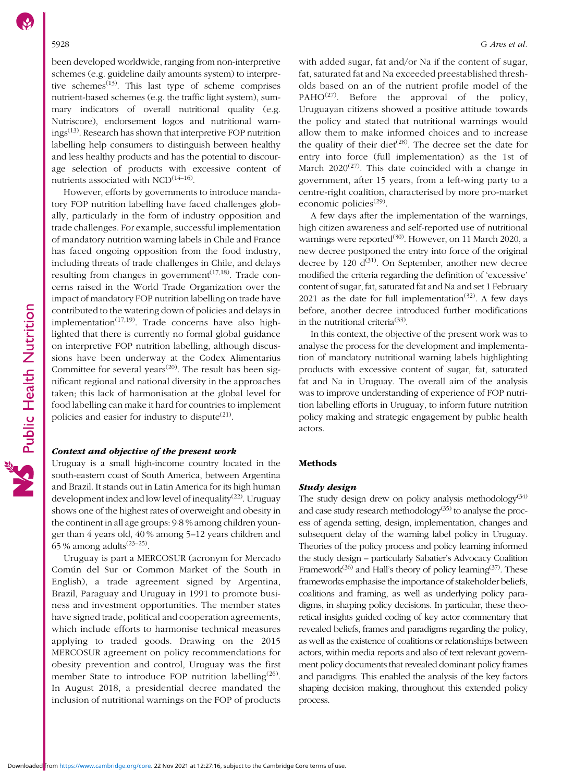been developed worldwide, ranging from non-interpretive schemes (e.g. guideline daily amounts system) to interpretive schemes<sup> $(13)$  $(13)$  $(13)$ </sup>. This last type of scheme comprises nutrient-based schemes (e.g. the traffic light system), summary indicators of overall nutritional quality (e.g. Nutriscore), endorsement logos and nutritional warnings[\(13\)](#page-10-0). Research has shown that interpretive FOP nutrition labelling help consumers to distinguish between healthy and less healthy products and has the potential to discourage selection of products with excessive content of nutrients associated with  $NCD^{(14-16)}$  $NCD^{(14-16)}$  $NCD^{(14-16)}$  $NCD^{(14-16)}$  $NCD^{(14-16)}$ .

However, efforts by governments to introduce mandatory FOP nutrition labelling have faced challenges globally, particularly in the form of industry opposition and trade challenges. For example, successful implementation of mandatory nutrition warning labels in Chile and France has faced ongoing opposition from the food industry, including threats of trade challenges in Chile, and delays resulting from changes in government<sup> $(17,18)$ </sup>. Trade concerns raised in the World Trade Organization over the impact of mandatory FOP nutrition labelling on trade have contributed to the watering down of policies and delays in implementation<sup> $(17,19)$ </sup>. Trade concerns have also highlighted that there is currently no formal global guidance on interpretive FOP nutrition labelling, although discussions have been underway at the Codex Alimentarius Committee for several years<sup> $(20)$  $(20)$  $(20)$ </sup>. The result has been significant regional and national diversity in the approaches taken; this lack of harmonisation at the global level for food labelling can make it hard for countries to implement policies and easier for industry to dispute $(21)$  $(21)$  $(21)$ .

### Context and objective of the present work

Uruguay is a small high-income country located in the south-eastern coast of South America, between Argentina and Brazil. It stands out in Latin America for its high human development index and low level of inequality<sup>[\(22\)](#page-11-0)</sup>. Uruguay shows one of the highest rates of overweight and obesity in the continent in all age groups: 9·8 % among children younger than 4 years old, 40 % among 5–12 years children and 65 % among adults<sup> $(23-25)$  $(23-25)$  $(23-25)$  $(23-25)$  $(23-25)$ </sup>.

Uruguay is part a MERCOSUR (acronym for Mercado Común del Sur or Common Market of the South in English), a trade agreement signed by Argentina, Brazil, Paraguay and Uruguay in 1991 to promote business and investment opportunities. The member states have signed trade, political and cooperation agreements, which include efforts to harmonise technical measures applying to traded goods. Drawing on the 2015 MERCOSUR agreement on policy recommendations for obesity prevention and control, Uruguay was the first member State to introduce FOP nutrition labelling<sup>([26\)](#page-11-0)</sup>. In August 2018, a presidential decree mandated the inclusion of nutritional warnings on the FOP of products

with added sugar, fat and/or Na if the content of sugar, fat, saturated fat and Na exceeded preestablished thresholds based on an of the nutrient profile model of the PAHO<sup>[\(27](#page-11-0))</sup>. Before the approval of the policy, Uruguayan citizens showed a positive attitude towards the policy and stated that nutritional warnings would allow them to make informed choices and to increase the quality of their diet<sup> $(28)$  $(28)$ </sup>. The decree set the date for entry into force (full implementation) as the 1st of March  $2020^{(27)}$  $2020^{(27)}$  $2020^{(27)}$ . This date coincided with a change in government, after 15 years, from a left-wing party to a centre-right coalition, characterised by more pro-market economic policies $(29)$  $(29)$ .

A few days after the implementation of the warnings, high citizen awareness and self-reported use of nutritional warnings were reported<sup>([30\)](#page-11-0)</sup>. However, on 11 March 2020, a new decree postponed the entry into force of the original decree by 120  $d^{(31)}$  $d^{(31)}$  $d^{(31)}$ . On September, another new decree modified the criteria regarding the definition of 'excessive' content of sugar, fat, saturated fat and Na and set 1 February 2021 as the date for full implementation<sup>[\(32\)](#page-11-0)</sup>. A few days before, another decree introduced further modifications in the nutritional criteria<sup>([33](#page-11-0))</sup>.

In this context, the objective of the present work was to analyse the process for the development and implementation of mandatory nutritional warning labels highlighting products with excessive content of sugar, fat, saturated fat and Na in Uruguay. The overall aim of the analysis was to improve understanding of experience of FOP nutrition labelling efforts in Uruguay, to inform future nutrition policy making and strategic engagement by public health actors.

### Methods

# Study design

The study design drew on policy analysis methodology<sup>([34](#page-11-0))</sup> and case study research methodology<sup> $(35)$  $(35)$  $(35)$ </sup> to analyse the process of agenda setting, design, implementation, changes and subsequent delay of the warning label policy in Uruguay. Theories of the policy process and policy learning informed the study design – particularly Sabatier's Advocacy Coalition Framework<sup>([36](#page-11-0))</sup> and Hall's theory of policy learning<sup>[\(37](#page-11-0))</sup>. These frameworks emphasise the importance of stakeholder beliefs, coalitions and framing, as well as underlying policy paradigms, in shaping policy decisions. In particular, these theoretical insights guided coding of key actor commentary that revealed beliefs, frames and paradigms regarding the policy, as well as the existence of coalitions or relationships between actors, within media reports and also of text relevant government policy documents that revealed dominant policy frames and paradigms. This enabled the analysis of the key factors shaping decision making, throughout this extended policy process.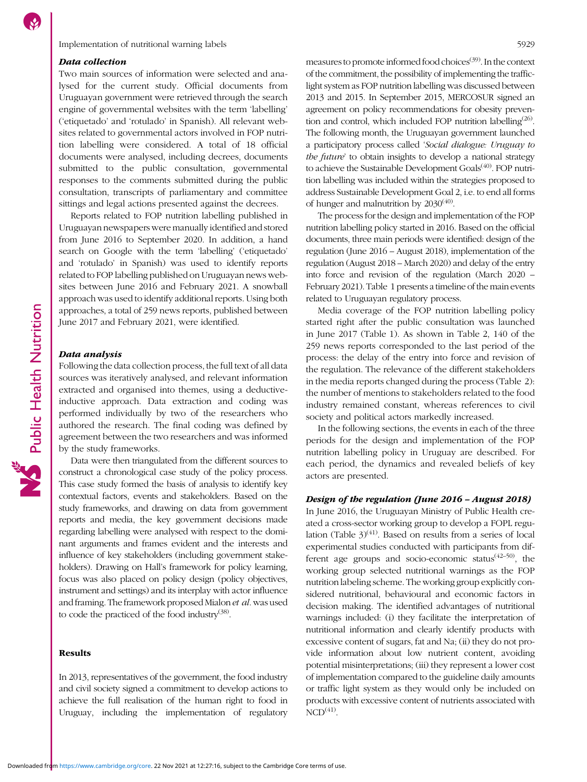### Data collection

Two main sources of information were selected and analysed for the current study. Official documents from Uruguayan government were retrieved through the search engine of governmental websites with the term 'labelling' ('etiquetado' and 'rotulado' in Spanish). All relevant websites related to governmental actors involved in FOP nutrition labelling were considered. A total of 18 official documents were analysed, including decrees, documents submitted to the public consultation, governmental responses to the comments submitted during the public consultation, transcripts of parliamentary and committee sittings and legal actions presented against the decrees.

Reports related to FOP nutrition labelling published in Uruguayan newspapers were manually identified and stored from June 2016 to September 2020. In addition, a hand search on Google with the term 'labelling' ('etiquetado' and 'rotulado' in Spanish) was used to identify reports related to FOP labelling published on Uruguayan news websites between June 2016 and February 2021. A snowball approach was used to identify additional reports. Using both approaches, a total of 259 news reports, published between June 2017 and February 2021, were identified.

# Data analysis

Following the data collection process, the full text of all data sources was iteratively analysed, and relevant information extracted and organised into themes, using a deductiveinductive approach. Data extraction and coding was performed individually by two of the researchers who authored the research. The final coding was defined by agreement between the two researchers and was informed by the study frameworks.

Data were then triangulated from the different sources to construct a chronological case study of the policy process. This case study formed the basis of analysis to identify key contextual factors, events and stakeholders. Based on the study frameworks, and drawing on data from government reports and media, the key government decisions made regarding labelling were analysed with respect to the dominant arguments and frames evident and the interests and influence of key stakeholders (including government stakeholders). Drawing on Hall's framework for policy learning, focus was also placed on policy design (policy objectives, instrument and settings) and its interplay with actor influence and framing. The framework proposed Mialon et al. was used to code the practiced of the food industry $(38)$  $(38)$  $(38)$ .

# Results

In 2013, representatives of the government, the food industry and civil society signed a commitment to develop actions to achieve the full realisation of the human right to food in Uruguay, including the implementation of regulatory measures to promote informed food choices<sup>[\(39](#page-11-0))</sup>. In the context of the commitment, the possibility of implementing the trafficlight system as FOP nutrition labelling was discussed between 2013 and 2015. In September 2015, MERCOSUR signed an agreement on policy recommendations for obesity prevention and control, which included FOP nutrition labelling<sup> $(26)$  $(26)$  $(26)$ </sup>. The following month, the Uruguayan government launched a participatory process called 'Social dialogue: Uruguay to the future' to obtain insights to develop a national strategy to achieve the Sustainable Development Goals<sup>[\(40\)](#page-11-0)</sup>. FOP nutrition labelling was included within the strategies proposed to address Sustainable Development Goal 2, i.e. to end all forms of hunger and malnutrition by  $2030^{(40)}$  $2030^{(40)}$  $2030^{(40)}$ .

The process for the design and implementation of the FOP nutrition labelling policy started in 2016. Based on the official documents, three main periods were identified: design of the regulation (June 2016 – August 2018), implementation of the regulation (August 2018 – March 2020) and delay of the entry into force and revision of the regulation (March 2020 – February 2021). Table [1](#page-3-0) presents a timeline of the main events related to Uruguayan regulatory process.

Media coverage of the FOP nutrition labelling policy started right after the public consultation was launched in June 2017 (Table [1\)](#page-3-0). As shown in Table [2,](#page-3-0) 140 of the 259 news reports corresponded to the last period of the process: the delay of the entry into force and revision of the regulation. The relevance of the different stakeholders in the media reports changed during the process (Table [2](#page-3-0)): the number of mentions to stakeholders related to the food industry remained constant, whereas references to civil society and political actors markedly increased.

In the following sections, the events in each of the three periods for the design and implementation of the FOP nutrition labelling policy in Uruguay are described. For each period, the dynamics and revealed beliefs of key actors are presented.

# Design of the regulation (June 2016 – August 2018)

In June 2016, the Uruguayan Ministry of Public Health created a cross-sector working group to develop a FOPL regulation (Table  $3^{(41)}$  $3^{(41)}$  $3^{(41)}$ . Based on results from a series of local experimental studies conducted with participants from different age groups and socio-economic status $(42-50)$  $(42-50)$  $(42-50)$  $(42-50)$  $(42-50)$ , the working group selected nutritional warnings as the FOP nutrition labeling scheme. The working group explicitly considered nutritional, behavioural and economic factors in decision making. The identified advantages of nutritional warnings included: (i) they facilitate the interpretation of nutritional information and clearly identify products with excessive content of sugars, fat and Na; (ii) they do not provide information about low nutrient content, avoiding potential misinterpretations; (iii) they represent a lower cost of implementation compared to the guideline daily amounts or traffic light system as they would only be included on products with excessive content of nutrients associated with  $NCD<sup>(41)</sup>$  $NCD<sup>(41)</sup>$  $NCD<sup>(41)</sup>$ .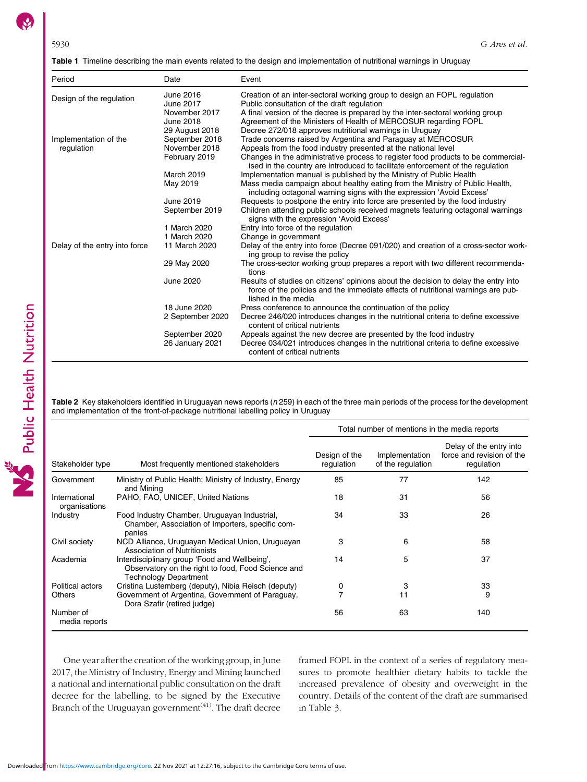<span id="page-3-0"></span>

|  |  | <b>Table 1</b> Timeline describing the main events related to the design and implementation of nutritional warnings in Uruguay |  |  |  |  |
|--|--|--------------------------------------------------------------------------------------------------------------------------------|--|--|--|--|
|--|--|--------------------------------------------------------------------------------------------------------------------------------|--|--|--|--|

| Period                        | Date                                    | Event                                                                                                                                                                                                    |
|-------------------------------|-----------------------------------------|----------------------------------------------------------------------------------------------------------------------------------------------------------------------------------------------------------|
| Design of the regulation      | June 2016<br>June 2017<br>November 2017 | Creation of an inter-sectoral working group to design an FOPL regulation<br>Public consultation of the draft regulation<br>A final version of the decree is prepared by the inter-sectoral working group |
|                               | June 2018                               | Agreement of the Ministers of Health of MERCOSUR regarding FOPL                                                                                                                                          |
|                               | 29 August 2018                          | Decree 272/018 approves nutritional warnings in Uruguay                                                                                                                                                  |
| Implementation of the         | September 2018                          | Trade concerns raised by Argentina and Paraguay at MERCOSUR                                                                                                                                              |
| regulation                    | November 2018                           | Appeals from the food industry presented at the national level                                                                                                                                           |
|                               | February 2019                           | Changes in the administrative process to register food products to be commercial-<br>ised in the country are introduced to facilitate enforcement of the regulation                                      |
|                               | March 2019                              | Implementation manual is published by the Ministry of Public Health                                                                                                                                      |
|                               | May 2019                                | Mass media campaign about healthy eating from the Ministry of Public Health,<br>including octagonal warning signs with the expression 'Avoid Excess'                                                     |
|                               | June 2019                               | Requests to postpone the entry into force are presented by the food industry                                                                                                                             |
|                               | September 2019                          | Children attending public schools received magnets featuring octagonal warnings<br>signs with the expression 'Avoid Excess'                                                                              |
|                               | 1 March 2020                            | Entry into force of the regulation                                                                                                                                                                       |
|                               | 1 March 2020                            | Change in government                                                                                                                                                                                     |
| Delay of the entry into force | 11 March 2020                           | Delay of the entry into force (Decree 091/020) and creation of a cross-sector work-<br>ing group to revise the policy                                                                                    |
|                               | 29 May 2020                             | The cross-sector working group prepares a report with two different recommenda-<br>tions                                                                                                                 |
|                               | June 2020                               | Results of studies on citizens' opinions about the decision to delay the entry into<br>force of the policies and the immediate effects of nutritional warnings are pub-<br>lished in the media           |
|                               | 18 June 2020                            | Press conference to announce the continuation of the policy                                                                                                                                              |
|                               | 2 September 2020                        | Decree 246/020 introduces changes in the nutritional criteria to define excessive<br>content of critical nutrients                                                                                       |
|                               | September 2020                          | Appeals against the new decree are presented by the food industry                                                                                                                                        |
|                               | 26 January 2021                         | Decree 034/021 introduces changes in the nutritional criteria to define excessive<br>content of critical nutrients                                                                                       |

Table 2 Key stakeholders identified in Uruguayan news reports (n 259) in each of the three main periods of the process for the development and implementation of the front-of-package nutritional labelling policy in Uruguay

|                                |                                                                                                                                     | Total number of mentions in the media reports |                                     |                                                                    |  |
|--------------------------------|-------------------------------------------------------------------------------------------------------------------------------------|-----------------------------------------------|-------------------------------------|--------------------------------------------------------------------|--|
| Stakeholder type               | Most frequently mentioned stakeholders                                                                                              | Design of the<br>regulation                   | Implementation<br>of the regulation | Delay of the entry into<br>force and revision of the<br>regulation |  |
| Government                     | Ministry of Public Health; Ministry of Industry, Energy<br>and Mining                                                               | 85                                            | 77                                  | 142                                                                |  |
| International<br>organisations | PAHO, FAO, UNICEF, United Nations                                                                                                   | 18                                            | 31                                  | 56                                                                 |  |
| Industry                       | Food Industry Chamber, Uruguayan Industrial,<br>Chamber, Association of Importers, specific com-<br>panies                          | 34                                            | 33                                  | 26                                                                 |  |
| Civil society                  | NCD Alliance, Uruguayan Medical Union, Uruguayan<br>Association of Nutritionists                                                    | 3                                             | 6                                   | 58                                                                 |  |
| Academia                       | Interdisciplinary group 'Food and Wellbeing',<br>Observatory on the right to food, Food Science and<br><b>Technology Department</b> | 14                                            | 5                                   | 37                                                                 |  |
| Political actors               | Cristina Lustemberg (deputy), Nibia Reisch (deputy)                                                                                 | 0                                             | 3                                   | 33                                                                 |  |
| <b>Others</b>                  | Government of Argentina, Government of Paraguay,<br>Dora Szafir (retired judge)                                                     |                                               | 11                                  | 9                                                                  |  |
| Number of<br>media reports     |                                                                                                                                     | 56                                            | 63                                  | 140                                                                |  |

One year after the creation of the working group, in June 2017, the Ministry of Industry, Energy and Mining launched a national and international public consultation on the draft decree for the labelling, to be signed by the Executive Branch of the Uruguayan government<sup> $(41)$  $(41)$  $(41)$ </sup>. The draft decree framed FOPL in the context of a series of regulatory measures to promote healthier dietary habits to tackle the increased prevalence of obesity and overweight in the country. Details of the content of the draft are summarised in Table [3](#page-4-0).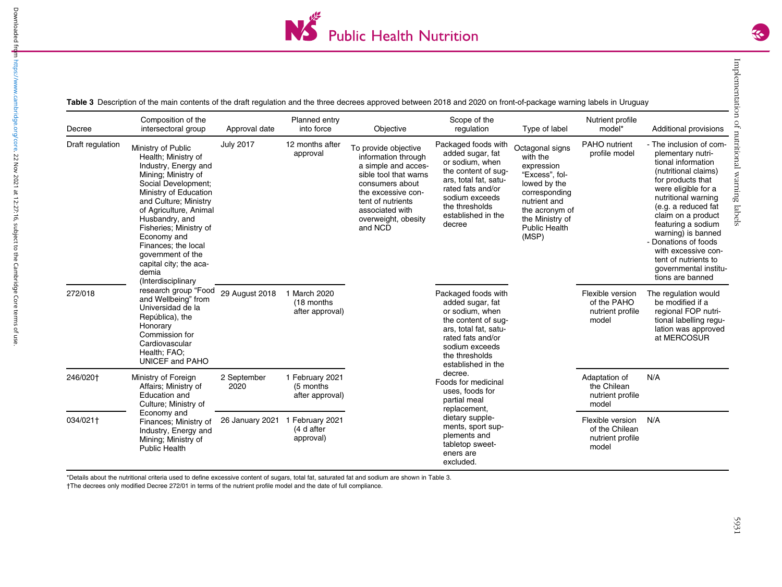

<span id="page-4-0"></span>

| Decree           | Composition of the<br>intersectoral group                                                                                                                                                                                                                                                                                                                   | Approval date       | Planned entry<br>into force                      | Objective                                                                                                                                                                                                      | Scope of the<br>regulation                                                                                                                                                                          | Type of label                                                                                                                                                                      | Nutrient profile<br>model*                                      | Additional provisions                                                                                                                                                                                                                                                                                                                                                      |
|------------------|-------------------------------------------------------------------------------------------------------------------------------------------------------------------------------------------------------------------------------------------------------------------------------------------------------------------------------------------------------------|---------------------|--------------------------------------------------|----------------------------------------------------------------------------------------------------------------------------------------------------------------------------------------------------------------|-----------------------------------------------------------------------------------------------------------------------------------------------------------------------------------------------------|------------------------------------------------------------------------------------------------------------------------------------------------------------------------------------|-----------------------------------------------------------------|----------------------------------------------------------------------------------------------------------------------------------------------------------------------------------------------------------------------------------------------------------------------------------------------------------------------------------------------------------------------------|
| Draft regulation | Ministry of Public<br>Health; Ministry of<br>Industry, Energy and<br>Mining; Ministry of<br>Social Development;<br>Ministry of Education<br>and Culture; Ministry<br>of Agriculture, Animal<br>Husbandry, and<br>Fisheries; Ministry of<br>Economy and<br>Finances; the local<br>government of the<br>capital city; the aca-<br>demia<br>(Interdisciplinary | <b>July 2017</b>    | 12 months after<br>approval                      | To provide objective<br>information through<br>a simple and acces-<br>sible tool that warns<br>consumers about<br>the excessive con-<br>tent of nutrients<br>associated with<br>overweight, obesity<br>and NCD | Packaged foods with<br>added sugar, fat<br>or sodium, when<br>the content of sug-<br>ars, total fat, satu-<br>rated fats and/or<br>sodium exceeds<br>the thresholds<br>established in the<br>decree | Octagonal signs<br>with the<br>expression<br>"Excess", fol-<br>lowed by the<br>corresponding<br>nutrient and<br>the acronym of<br>the Ministry of<br><b>Public Health</b><br>(MSP) | PAHO nutrient<br>profile model                                  | - The inclusion of com-<br>plementary nutri-<br>tional information<br>(nutritional claims)<br>for products that<br>were eligible for a<br>nutritional warning<br>(e.g. a reduced fat<br>claim on a product<br>featuring a sodium<br>warning) is banned<br>- Donations of foods<br>with excessive con-<br>tent of nutrients to<br>qovernmental institu-<br>tions are banned |
| 272/018          | research group "Food<br>and Wellbeing" from<br>Universidad de la<br>República), the<br>Honorary<br>Commission for<br>Cardiovascular<br>Health; FAO;<br><b>UNICEF and PAHO</b>                                                                                                                                                                               | 29 August 2018      | 1 March 2020<br>(18 months<br>after approval)    |                                                                                                                                                                                                                | Packaged foods with<br>added sugar, fat<br>or sodium, when<br>the content of sug-<br>ars, total fat, satu-<br>rated fats and/or<br>sodium exceeds<br>the thresholds<br>established in the           |                                                                                                                                                                                    | Flexible version<br>of the PAHO<br>nutrient profile<br>model    | The regulation would<br>be modified if a<br>regional FOP nutri-<br>tional labelling regu-<br>lation was approved<br>at MERCOSUR                                                                                                                                                                                                                                            |
| 246/020†         | Ministry of Foreign<br>Affairs; Ministry of<br>Education and<br>Culture; Ministry of                                                                                                                                                                                                                                                                        | 2 September<br>2020 | 1 February 2021<br>(5 months)<br>after approval) |                                                                                                                                                                                                                | decree.<br>Foods for medicinal<br>uses, foods for<br>partial meal<br>replacement,                                                                                                                   |                                                                                                                                                                                    | Adaptation of<br>the Chilean<br>nutrient profile<br>model       | N/A                                                                                                                                                                                                                                                                                                                                                                        |
| 034/021†         | Economy and<br>Finances; Ministry of<br>Industry, Energy and<br>Mining; Ministry of<br><b>Public Health</b>                                                                                                                                                                                                                                                 | 26 January 2021     | 1 February 2021<br>(4 d after<br>approval)       |                                                                                                                                                                                                                | dietary supple-<br>ments, sport sup-<br>plements and<br>tabletop sweet-<br>eners are<br>excluded.                                                                                                   |                                                                                                                                                                                    | Flexible version<br>of the Chilean<br>nutrient profile<br>model | N/A                                                                                                                                                                                                                                                                                                                                                                        |

\*Details about the nutritional criteria used to define excessive content of sugars, total fat, saturated fat and sodium are shown in Table 3.

†The decrees only modified Decree 272/01 in terms of the nutrient profile model and the date of full compliance.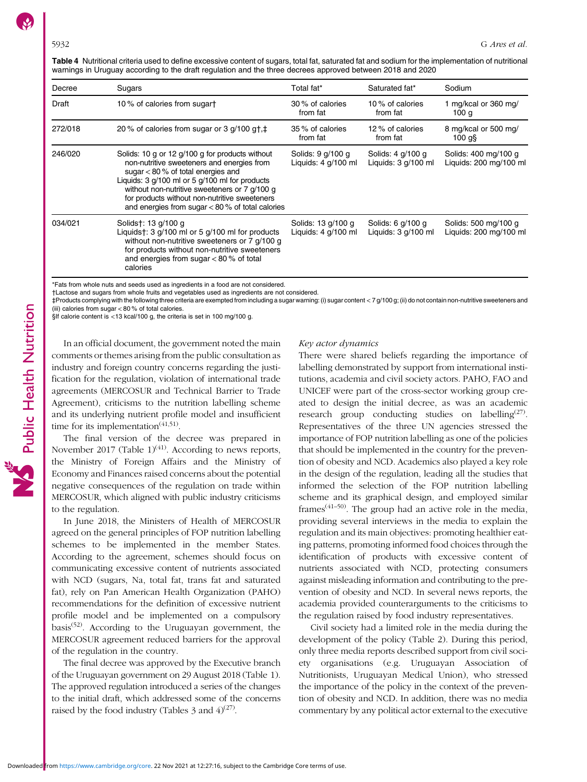<span id="page-5-0"></span>Table 4 Nutritional criteria used to define excessive content of sugars, total fat, saturated fat and sodium for the implementation of nutritional warnings in Uruguay according to the draft regulation and the three decrees approved between 2018 and 2020

| Decree  | Sugars                                                                                                                                                                                                                                                                                                                                              | Total fat*                                  | Saturated fat*                             | Sodium                                         |
|---------|-----------------------------------------------------------------------------------------------------------------------------------------------------------------------------------------------------------------------------------------------------------------------------------------------------------------------------------------------------|---------------------------------------------|--------------------------------------------|------------------------------------------------|
| Draft   | 10% of calories from sugart                                                                                                                                                                                                                                                                                                                         | 30 % of calories<br>from fat                | 10% of calories<br>from fat                | 1 mg/kcal or 360 mg/<br>100 g                  |
| 272/018 | 20% of calories from sugar or 3 $g/100$ g†, $\ddagger$                                                                                                                                                                                                                                                                                              | 35 % of calories<br>from fat                | 12 % of calories<br>from fat               | 8 mg/kcal or 500 mg/<br>$100$ g $\S$           |
| 246/020 | Solids: 10 g or 12 g/100 g for products without<br>non-nutritive sweeteners and energies from<br>sugar $< 80$ % of total energies and<br>Liquids: $3$ g/100 ml or $5$ g/100 ml for products<br>without non-nutritive sweeteners or 7 g/100 g<br>for products without non-nutritive sweeteners<br>and energies from sugar $< 80$ % of total calories | Solids: 9 g/100 g<br>Liquids: 4 g/100 ml    | Solids: 4 g/100 g<br>Liquids: 3 g/100 ml   | Solids: 400 mg/100 g<br>Liquids: 200 mg/100 ml |
| 034/021 | Solids†: 13 g/100 g<br>Liquids†: 3 g/100 ml or 5 g/100 ml for products<br>without non-nutritive sweeteners or 7 g/100 g<br>for products without non-nutritive sweeteners<br>and energies from sugar $< 80 %$ of total<br>calories                                                                                                                   | Solids: 13 g/100 g<br>Liquids: $4$ g/100 ml | Solids: 6 g/100 g<br>Liquids: $3 q/100 ml$ | Solids: 500 mg/100 g<br>Liguids: 200 mg/100 ml |

\*Fats from whole nuts and seeds used as ingredients in a food are not considered.

†Lactose and sugars from whole fruits and vegetables used as ingredients are not considered.

‡Products complying with the following three criteria are exempted from including a sugar warning: (i) sugar content < 7 g/100 g; (ii) do not contain non-nutritive sweeteners and (iii) calories from sugar < 80 % of total calories.

§If calorie content is <13 kcal/100 g, the criteria is set in 100 mg/100 g.

In an official document, the government noted the main comments or themes arising from the public consultation as industry and foreign country concerns regarding the justification for the regulation, violation of international trade agreements (MERCOSUR and Technical Barrier to Trade Agreement), criticisms to the nutrition labelling scheme and its underlying nutrient profile model and insufficient time for its implementation<sup> $(41,51)$  $(41,51)$  $(41,51)$ </sup>.

The final version of the decree was prepared in November 2017 (Table [1](#page-3-0))<sup>([41](#page-11-0))</sup>. According to news reports, the Ministry of Foreign Affairs and the Ministry of Economy and Finances raised concerns about the potential negative consequences of the regulation on trade within MERCOSUR, which aligned with public industry criticisms to the regulation.

In June 2018, the Ministers of Health of MERCOSUR agreed on the general principles of FOP nutrition labelling schemes to be implemented in the member States. According to the agreement, schemes should focus on communicating excessive content of nutrients associated with NCD (sugars, Na, total fat, trans fat and saturated fat), rely on Pan American Health Organization (PAHO) recommendations for the definition of excessive nutrient profile model and be implemented on a compulsory basis<sup> $(52)$  $(52)$  $(52)$ </sup>. According to the Uruguayan government, the MERCOSUR agreement reduced barriers for the approval of the regulation in the country.

The final decree was approved by the Executive branch of the Uruguayan government on 29 August 2018 (Table [1](#page-3-0)). The approved regulation introduced a series of the changes to the initial draft, which addressed some of the concerns raised by the food industry (Tables [3](#page-4-0) and  $4)^{(27)}$  $4)^{(27)}$  $4)^{(27)}$ .

### Key actor dynamics

There were shared beliefs regarding the importance of labelling demonstrated by support from international institutions, academia and civil society actors. PAHO, FAO and UNICEF were part of the cross-sector working group created to design the initial decree, as was an academic research group conducting studies on labelling<sup> $(27)$ </sup>. Representatives of the three UN agencies stressed the importance of FOP nutrition labelling as one of the policies that should be implemented in the country for the prevention of obesity and NCD. Academics also played a key role in the design of the regulation, leading all the studies that informed the selection of the FOP nutrition labelling scheme and its graphical design, and employed similar frames<sup> $(41-50)$  $(41-50)$  $(41-50)$ </sup>. The group had an active role in the media, providing several interviews in the media to explain the regulation and its main objectives: promoting healthier eating patterns, promoting informed food choices through the identification of products with excessive content of nutrients associated with NCD, protecting consumers against misleading information and contributing to the prevention of obesity and NCD. In several news reports, the academia provided counterarguments to the criticisms to the regulation raised by food industry representatives.

Civil society had a limited role in the media during the development of the policy (Table [2\)](#page-3-0). During this period, only three media reports described support from civil society organisations (e.g. Uruguayan Association of Nutritionists, Uruguayan Medical Union), who stressed the importance of the policy in the context of the prevention of obesity and NCD. In addition, there was no media commentary by any political actor external to the executive

Downloaded from<https://www.cambridge.org/core>. 22 Nov 2021 at 12:27:16, subject to the Cambridge Core terms of use.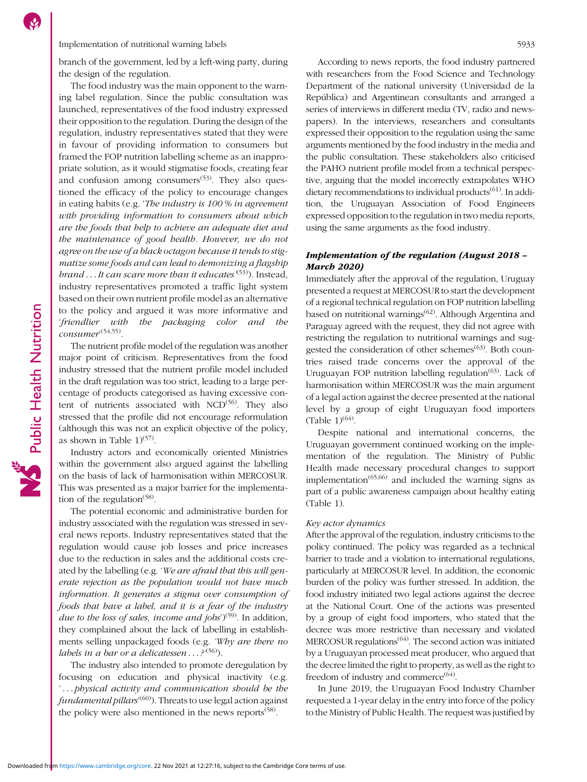Implementation of nutritional warning labels 5933

branch of the government, led by a left-wing party, during the design of the regulation.

The food industry was the main opponent to the warning label regulation. Since the public consultation was launched, representatives of the food industry expressed their opposition to the regulation. During the design of the regulation, industry representatives stated that they were in favour of providing information to consumers but framed the FOP nutrition labelling scheme as an inappropriate solution, as it would stigmatise foods, creating fear and confusion among consumers $(53)$  $(53)$  $(53)$ . They also questioned the efficacy of the policy to encourage changes in eating habits (e.g. 'The industry is 100 % in agreement with providing information to consumers about which are the foods that help to achieve an adequate diet and the maintenance of good health. However, we do not agree on the use of a black octagon because it tends to stigmatize some foods and can lead to demonizing a flagship brand . . . It can scare more than it educates <sup>([53](#page-12-0))</sup>). Instead, industry representatives promoted a traffic light system based on their own nutrient profile model as an alternative to the policy and argued it was more informative and 'friendlier with the packaging color and the consumer' ([54,55](#page-12-0)).

The nutrient profile model of the regulation was another major point of criticism. Representatives from the food industry stressed that the nutrient profile model included in the draft regulation was too strict, leading to a large percentage of products categorised as having excessive content of nutrients associated with  $NCD^{(56)}$  $NCD^{(56)}$  $NCD^{(56)}$ . They also stressed that the profile did not encourage reformulation (although this was not an explicit objective of the policy, as shown in Table  $1$ <sup>[\(57\)](#page-12-0)</sup>.

Industry actors and economically oriented Ministries within the government also argued against the labelling on the basis of lack of harmonisation within MERCOSUR. This was presented as a major barrier for the implementation of the regulation<sup> $(58)$ </sup>.

The potential economic and administrative burden for industry associated with the regulation was stressed in several news reports. Industry representatives stated that the regulation would cause job losses and price increases due to the reduction in sales and the additional costs created by the labelling (e.g. 'We are afraid that this will generate rejection as the population would not have much information. It generates a stigma over consumption of foods that have a label, and it is a fear of the industry due to the loss of sales, income and jobs')<sup>[\(59\)](#page-12-0)</sup>. In addition, they complained about the lack of labelling in establishments selling unpackaged foods (e.g. 'Why are there no labels in a bar or a delicatessen . . . ?<sup>[\(56](#page-12-0))</sup>).

The industry also intended to promote deregulation by focusing on education and physical inactivity (e.g. '...physical activity and communication should be the *fundamental pillars'<sup>[\(60\)](#page-12-0)</sup>). Threats to use legal action against* the policy were also mentioned in the news reports $(58)$  $(58)$  $(58)$ .

According to news reports, the food industry partnered with researchers from the Food Science and Technology Department of the national university (Universidad de la República) and Argentinean consultants and arranged a series of interviews in different media (TV, radio and newspapers). In the interviews, researchers and consultants expressed their opposition to the regulation using the same arguments mentioned by the food industry in the media and the public consultation. These stakeholders also criticised the PAHO nutrient profile model from a technical perspective, arguing that the model incorrectly extrapolates WHO dietary recommendations to individual products $(61)$  $(61)$ . In addition, the Uruguayan Association of Food Engineers expressed opposition to the regulation in two media reports, using the same arguments as the food industry.

# Implementation of the regulation (August 2018 – March 2020)

Immediately after the approval of the regulation, Uruguay presented a request at MERCOSUR to start the development of a regional technical regulation on FOP nutrition labelling based on nutritional warnings<sup>([62](#page-12-0))</sup>. Although Argentina and Paraguay agreed with the request, they did not agree with restricting the regulation to nutritional warnings and sug-gested the consideration of other schemes<sup>[\(63](#page-12-0))</sup>. Both countries raised trade concerns over the approval of the Uruguayan FOP nutrition labelling regulation<sup>([63](#page-12-0))</sup>. Lack of harmonisation within MERCOSUR was the main argument of a legal action against the decree presented at the national level by a group of eight Uruguayan food importers (Table  $1)^{(64)}$  $1)^{(64)}$  $1)^{(64)}$ .

Despite national and international concerns, the Uruguayan government continued working on the implementation of the regulation. The Ministry of Public Health made necessary procedural changes to support implementation<sup> $(65,66)$  $(65,66)$ </sup> and included the warning signs as part of a public awareness campaign about healthy eating (Table [1](#page-3-0)).

# Key actor dynamics

After the approval of the regulation, industry criticisms to the policy continued. The policy was regarded as a technical barrier to trade and a violation to international regulations, particularly at MERCOSUR level. In addition, the economic burden of the policy was further stressed. In addition, the food industry initiated two legal actions against the decree at the National Court. One of the actions was presented by a group of eight food importers, who stated that the decree was more restrictive than necessary and violated MERCOSUR regulations<sup>([64](#page-12-0))</sup>. The second action was initiated by a Uruguayan processed meat producer, who argued that the decree limited the right to property, as well as the right to freedom of industry and commerce $(64)$  $(64)$  $(64)$ .

In June 2019, the Uruguayan Food Industry Chamber requested a 1-year delay in the entry into force of the policy to the Ministry of Public Health. The request was justified by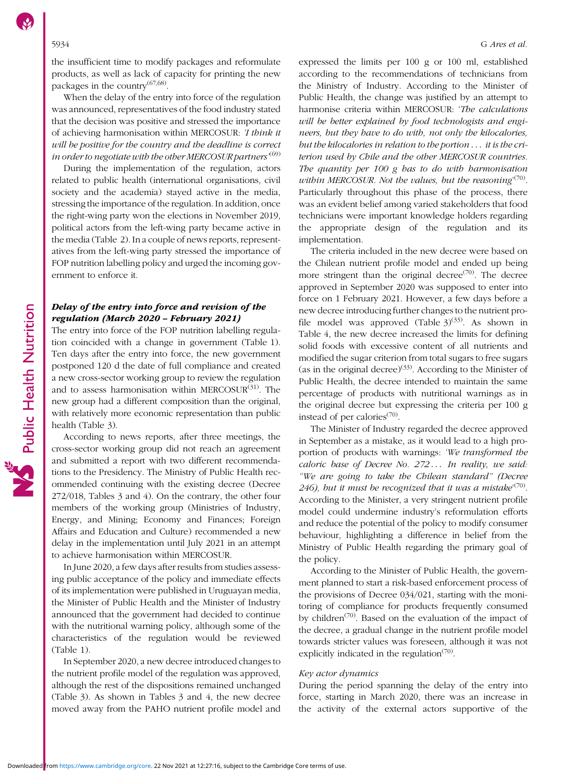the insufficient time to modify packages and reformulate products, as well as lack of capacity for printing the new packages in the country $^{(67,68)}$  $^{(67,68)}$  $^{(67,68)}$  $^{(67,68)}$  $^{(67,68)}$ .

When the delay of the entry into force of the regulation was announced, representatives of the food industry stated that the decision was positive and stressed the importance of achieving harmonisation within MERCOSUR: 'I think it will be positive for the country and the deadline is correct in order to negotiate with the other MERCOSUR partners  $^{(69)}$  $^{(69)}$  $^{(69)}$ 

During the implementation of the regulation, actors related to public health (international organisations, civil society and the academia) stayed active in the media, stressing the importance of the regulation. In addition, once the right-wing party won the elections in November 2019, political actors from the left-wing party became active in the media (Table [2\)](#page-3-0). In a couple of news reports, representatives from the left-wing party stressed the importance of FOP nutrition labelling policy and urged the incoming government to enforce it.

# Delay of the entry into force and revision of the regulation (March 2020 – February 2021)

The entry into force of the FOP nutrition labelling regulation coincided with a change in government (Table [1](#page-3-0)). Ten days after the entry into force, the new government postponed 120 d the date of full compliance and created a new cross-sector working group to review the regulation and to assess harmonisation within MERCOSUR<sup>([31](#page-11-0))</sup>. The new group had a different composition than the original, with relatively more economic representation than public health (Table [3\)](#page-4-0).

According to news reports, after three meetings, the cross-sector working group did not reach an agreement and submitted a report with two different recommendations to the Presidency. The Ministry of Public Health recommended continuing with the existing decree (Decree 272/018, Tables [3](#page-4-0) and [4](#page-5-0)). On the contrary, the other four members of the working group (Ministries of Industry, Energy, and Mining; Economy and Finances; Foreign Affairs and Education and Culture) recommended a new delay in the implementation until July 2021 in an attempt to achieve harmonisation within MERCOSUR.

In June 2020, a few days after results from studies assessing public acceptance of the policy and immediate effects of its implementation were published in Uruguayan media, the Minister of Public Health and the Minister of Industry announced that the government had decided to continue with the nutritional warning policy, although some of the characteristics of the regulation would be reviewed (Table [1](#page-3-0)).

In September 2020, a new decree introduced changes to the nutrient profile model of the regulation was approved, although the rest of the dispositions remained unchanged (Table [3](#page-4-0)). As shown in Tables [3](#page-4-0) and [4,](#page-5-0) the new decree moved away from the PAHO nutrient profile model and

expressed the limits per 100 g or 100 ml, established according to the recommendations of technicians from the Ministry of Industry. According to the Minister of Public Health, the change was justified by an attempt to harmonise criteria within MERCOSUR: 'The calculations will be better explained by food technologists and engineers, but they have to do with, not only the kilocalories, but the kilocalories in relation to the portion  $\ldots$  it is the criterion used by Chile and the other MERCOSUR countries. The quantity per 100 g has to do with harmonisation within MERCOSUR. Not the values, but the reasoning $(70)$ . Particularly throughout this phase of the process, there was an evident belief among varied stakeholders that food technicians were important knowledge holders regarding the appropriate design of the regulation and its implementation.

The criteria included in the new decree were based on the Chilean nutrient profile model and ended up being more stringent than the original decree<sup> $(70)$ </sup>. The decree approved in September 2020 was supposed to enter into force on 1 February 2021. However, a few days before a new decree introducing further changes to the nutrient profile model was approved (Table  $3)^{(33)}$  $3)^{(33)}$  $3)^{(33)}$ . As shown in Table [4,](#page-5-0) the new decree increased the limits for defining solid foods with excessive content of all nutrients and modified the sugar criterion from total sugars to free sugars (as in the original decree)<sup>[\(33\)](#page-11-0)</sup>. According to the Minister of Public Health, the decree intended to maintain the same percentage of products with nutritional warnings as in the original decree but expressing the criteria per 100 g instead of per calories $(70)$  $(70)$  $(70)$ .

The Minister of Industry regarded the decree approved in September as a mistake, as it would lead to a high proportion of products with warnings: 'We transformed the caloric base of Decree No. 272... In reality, we said: "We are going to take the Chilean standard" (Decree 246), but it must be recognized that it was a mistake<sup> $(70)$ </sup>. According to the Minister, a very stringent nutrient profile model could undermine industry's reformulation efforts and reduce the potential of the policy to modify consumer behaviour, highlighting a difference in belief from the Ministry of Public Health regarding the primary goal of the policy.

According to the Minister of Public Health, the government planned to start a risk-based enforcement process of the provisions of Decree 034/021, starting with the monitoring of compliance for products frequently consumed by children<sup> $(70)$  $(70)$  $(70)$ </sup>. Based on the evaluation of the impact of the decree, a gradual change in the nutrient profile model towards stricter values was foreseen, although it was not explicitly indicated in the regulation<sup> $(70)$  $(70)$  $(70)$ </sup>.

### Key actor dynamics

During the period spanning the delay of the entry into force, starting in March 2020, there was an increase in the activity of the external actors supportive of the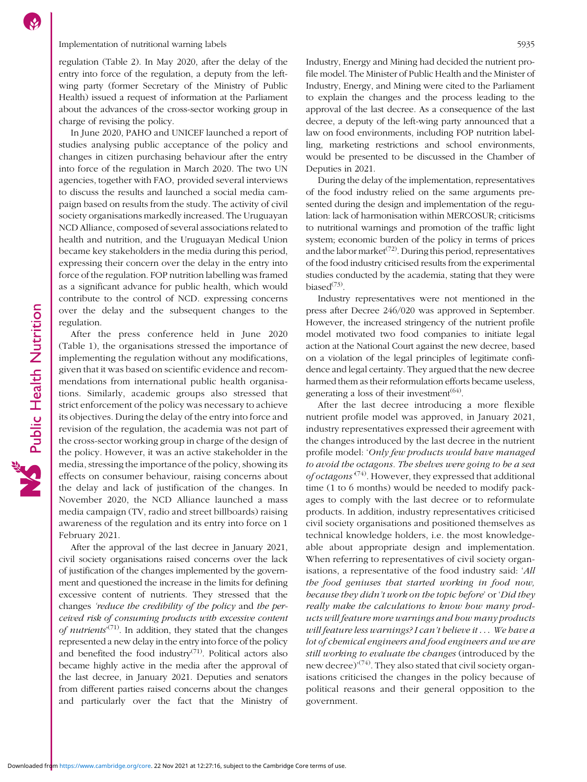# Implementation of nutritional warning labels 5935

regulation (Table [2\)](#page-3-0). In May 2020, after the delay of the entry into force of the regulation, a deputy from the leftwing party (former Secretary of the Ministry of Public Health) issued a request of information at the Parliament about the advances of the cross-sector working group in charge of revising the policy.

In June 2020, PAHO and UNICEF launched a report of studies analysing public acceptance of the policy and changes in citizen purchasing behaviour after the entry into force of the regulation in March 2020. The two UN agencies, together with FAO, provided several interviews to discuss the results and launched a social media campaign based on results from the study. The activity of civil society organisations markedly increased. The Uruguayan NCD Alliance, composed of several associations related to health and nutrition, and the Uruguayan Medical Union became key stakeholders in the media during this period, expressing their concern over the delay in the entry into force of the regulation. FOP nutrition labelling was framed as a significant advance for public health, which would contribute to the control of NCD. expressing concerns over the delay and the subsequent changes to the regulation.

After the press conference held in June 2020 (Table [1\)](#page-3-0), the organisations stressed the importance of implementing the regulation without any modifications, given that it was based on scientific evidence and recommendations from international public health organisations. Similarly, academic groups also stressed that strict enforcement of the policy was necessary to achieve its objectives. During the delay of the entry into force and revision of the regulation, the academia was not part of the cross-sector working group in charge of the design of the policy. However, it was an active stakeholder in the media, stressing the importance of the policy, showing its effects on consumer behaviour, raising concerns about the delay and lack of justification of the changes. In November 2020, the NCD Alliance launched a mass media campaign (TV, radio and street billboards) raising awareness of the regulation and its entry into force on 1 February 2021.

Public Health Nutrition

After the approval of the last decree in January 2021, civil society organisations raised concerns over the lack of justification of the changes implemented by the government and questioned the increase in the limits for defining excessive content of nutrients. They stressed that the changes 'reduce the credibility of the policy and the perceived risk of consuming products with excessive content of nutrients<sup>'([71\)](#page-12-0)</sup>. In addition, they stated that the changes represented a new delay in the entry into force of the policy and benefited the food industry<sup> $(71)$ </sup>. Political actors also became highly active in the media after the approval of the last decree, in January 2021. Deputies and senators from different parties raised concerns about the changes and particularly over the fact that the Ministry of Industry, Energy and Mining had decided the nutrient profile model. The Minister of Public Health and the Minister of Industry, Energy, and Mining were cited to the Parliament to explain the changes and the process leading to the approval of the last decree. As a consequence of the last decree, a deputy of the left-wing party announced that a law on food environments, including FOP nutrition labelling, marketing restrictions and school environments, would be presented to be discussed in the Chamber of Deputies in 2021.

During the delay of the implementation, representatives of the food industry relied on the same arguments presented during the design and implementation of the regulation: lack of harmonisation within MERCOSUR; criticisms to nutritional warnings and promotion of the traffic light system; economic burden of the policy in terms of prices and the labor market<sup> $(72)$  $(72)$ </sup>. During this period, representatives of the food industry criticised results from the experimental studies conducted by the academia, stating that they were biased $^{(73)}$  $^{(73)}$  $^{(73)}$ .

Industry representatives were not mentioned in the press after Decree 246/020 was approved in September. However, the increased stringency of the nutrient profile model motivated two food companies to initiate legal action at the National Court against the new decree, based on a violation of the legal principles of legitimate confidence and legal certainty. They argued that the new decree harmed them as their reformulation efforts became useless, generating a loss of their investment  $(64)$ .

After the last decree introducing a more flexible nutrient profile model was approved, in January 2021, industry representatives expressed their agreement with the changes introduced by the last decree in the nutrient profile model: 'Only few products would have managed to avoid the octagons. The shelves were going to be a sea of octagons<sup> $(74)$  $(74)$  $(74)$ </sup>. However, they expressed that additional time (1 to 6 months) would be needed to modify packages to comply with the last decree or to reformulate products. In addition, industry representatives criticised civil society organisations and positioned themselves as technical knowledge holders, i.e. the most knowledgeable about appropriate design and implementation. When referring to representatives of civil society organisations, a representative of the food industry said: 'All the food geniuses that started working in food now, because they didn't work on the topic before' or 'Did they really make the calculations to know how many products will feature more warnings and how many products will feature less warnings? I can't believe it . . . We have a lot of chemical engineers and food engineers and we are still working to evaluate the changes (introduced by the new decree)'<sup>([74\)](#page-13-0)</sup>. They also stated that civil society organisations criticised the changes in the policy because of political reasons and their general opposition to the government.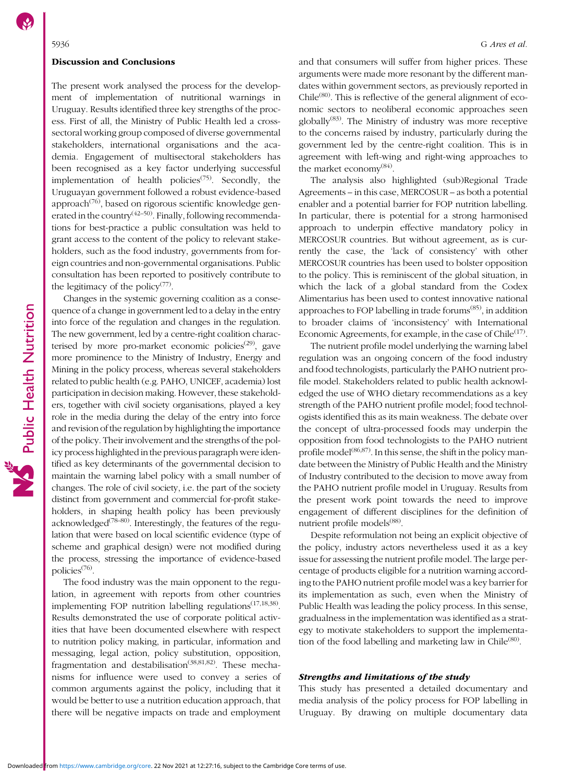#### Discussion and Conclusions

The present work analysed the process for the development of implementation of nutritional warnings in Uruguay. Results identified three key strengths of the process. First of all, the Ministry of Public Health led a crosssectoral working group composed of diverse governmental stakeholders, international organisations and the academia. Engagement of multisectoral stakeholders has been recognised as a key factor underlying successful implementation of health policies<sup> $(75)$  $(75)$  $(75)$ </sup>. Secondly, the Uruguayan government followed a robust evidence-based approach<sup> $(76)$  $(76)$ </sup>, based on rigorous scientific knowledge generated in the country<sup> $(42-50)$  $(42-50)$  $(42-50)$  $(42-50)$  $(42-50)$ </sup>. Finally, following recommendations for best-practice a public consultation was held to grant access to the content of the policy to relevant stakeholders, such as the food industry, governments from foreign countries and non-governmental organisations. Public consultation has been reported to positively contribute to the legitimacy of the policy<sup> $(77)$  $(77)$  $(77)$ </sup>.

Changes in the systemic governing coalition as a consequence of a change in government led to a delay in the entry into force of the regulation and changes in the regulation. The new government, led by a centre-right coalition charac-terised by more pro-market economic policies<sup>([29](#page-11-0))</sup>, gave more prominence to the Ministry of Industry, Energy and Mining in the policy process, whereas several stakeholders related to public health (e.g. PAHO, UNICEF, academia) lost participation in decision making. However, these stakeholders, together with civil society organisations, played a key role in the media during the delay of the entry into force and revision of the regulation by highlighting the importance of the policy. Their involvement and the strengths of the policy process highlighted in the previous paragraph were identified as key determinants of the governmental decision to maintain the warning label policy with a small number of changes. The role of civil society, i.e. the part of the society distinct from government and commercial for-profit stakeholders, in shaping health policy has been previously acknowledged<sup> $(78-80)$  $(78-80)$  $(78-80)$  $(78-80)$  $(78-80)$ </sup>. Interestingly, the features of the regulation that were based on local scientific evidence (type of scheme and graphical design) were not modified during the process, stressing the importance of evidence-based policies([76](#page-13-0)).

The food industry was the main opponent to the regulation, in agreement with reports from other countries implementing FOP nutrition labelling regulations<sup>([17,18,38](#page-11-0))</sup>. Results demonstrated the use of corporate political activities that have been documented elsewhere with respect to nutrition policy making, in particular, information and messaging, legal action, policy substitution, opposition, fragmentation and destabilisation<sup>([38,](#page-11-0)[81,82](#page-13-0))</sup>. These mechanisms for influence were used to convey a series of common arguments against the policy, including that it would be better to use a nutrition education approach, that there will be negative impacts on trade and employment and that consumers will suffer from higher prices. These arguments were made more resonant by the different mandates within government sectors, as previously reported in  $Chile<sup>(80)</sup>$  $Chile<sup>(80)</sup>$  $Chile<sup>(80)</sup>$ . This is reflective of the general alignment of economic sectors to neoliberal economic approaches seen globally<sup>[\(83](#page-13-0))</sup>. The Ministry of industry was more receptive to the concerns raised by industry, particularly during the government led by the centre-right coalition. This is in agreement with left-wing and right-wing approaches to the market economy<sup>[\(84\)](#page-13-0)</sup>.

The analysis also highlighted (sub)Regional Trade Agreements – in this case, MERCOSUR – as both a potential enabler and a potential barrier for FOP nutrition labelling. In particular, there is potential for a strong harmonised approach to underpin effective mandatory policy in MERCOSUR countries. But without agreement, as is currently the case, the 'lack of consistency' with other MERCOSUR countries has been used to bolster opposition to the policy. This is reminiscent of the global situation, in which the lack of a global standard from the Codex Alimentarius has been used to contest innovative national approaches to FOP labelling in trade forums([85](#page-13-0)), in addition to broader claims of 'inconsistency' with International Economic Agreements, for example, in the case of Chile $(17)$ .

The nutrient profile model underlying the warning label regulation was an ongoing concern of the food industry and food technologists, particularly the PAHO nutrient profile model. Stakeholders related to public health acknowledged the use of WHO dietary recommendations as a key strength of the PAHO nutrient profile model; food technologists identified this as its main weakness. The debate over the concept of ultra-processed foods may underpin the opposition from food technologists to the PAHO nutrient profile model<sup>([86,87\)](#page-13-0)</sup>. In this sense, the shift in the policy mandate between the Ministry of Public Health and the Ministry of Industry contributed to the decision to move away from the PAHO nutrient profile model in Uruguay. Results from the present work point towards the need to improve engagement of different disciplines for the definition of nutrient profile models<sup>([88](#page-13-0))</sup>.

Despite reformulation not being an explicit objective of the policy, industry actors nevertheless used it as a key issue for assessing the nutrient profile model. The large percentage of products eligible for a nutrition warning according to the PAHO nutrient profile model was a key barrier for its implementation as such, even when the Ministry of Public Health was leading the policy process. In this sense, gradualness in the implementation was identified as a strategy to motivate stakeholders to support the implementa-tion of the food labelling and marketing law in Chile<sup>([80\)](#page-13-0)</sup>.

# Strengths and limitations of the study

This study has presented a detailed documentary and media analysis of the policy process for FOP labelling in Uruguay. By drawing on multiple documentary data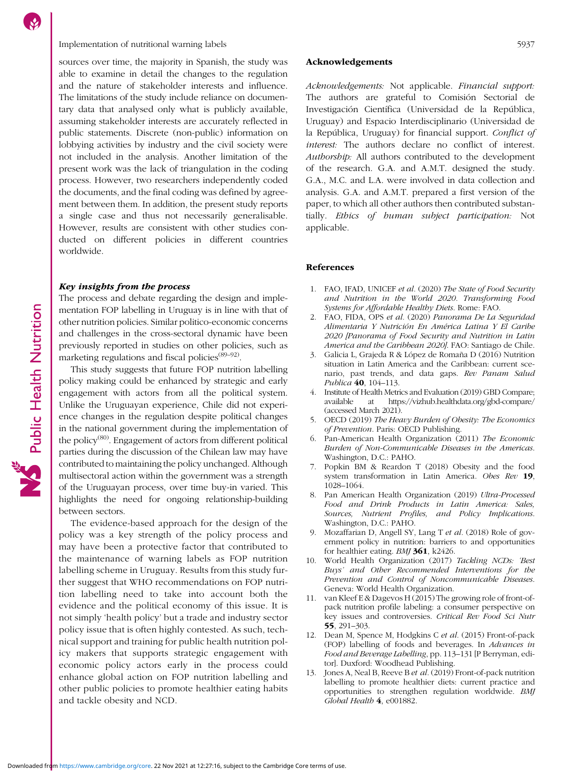# <span id="page-10-0"></span>Implementation of nutritional warning labels 5937

sources over time, the majority in Spanish, the study was able to examine in detail the changes to the regulation and the nature of stakeholder interests and influence. The limitations of the study include reliance on documentary data that analysed only what is publicly available, assuming stakeholder interests are accurately reflected in public statements. Discrete (non-public) information on lobbying activities by industry and the civil society were not included in the analysis. Another limitation of the present work was the lack of triangulation in the coding process. However, two researchers independently coded the documents, and the final coding was defined by agreement between them. In addition, the present study reports a single case and thus not necessarily generalisable. However, results are consistent with other studies conducted on different policies in different countries worldwide.

# Key insights from the process

The process and debate regarding the design and implementation FOP labelling in Uruguay is in line with that of other nutrition policies. Similar politico-economic concerns and challenges in the cross-sectoral dynamic have been previously reported in studies on other policies, such as marketing regulations and fiscal policies<sup> $(89-92)$  $(89-92)$  $(89-92)$ </sup>.

This study suggests that future FOP nutrition labelling policy making could be enhanced by strategic and early engagement with actors from all the political system. Unlike the Uruguayan experience, Chile did not experience changes in the regulation despite political changes in the national government during the implementation of the policy[\(80](#page-13-0)). Engagement of actors from different political parties during the discussion of the Chilean law may have contributed to maintaining the policy unchanged. Although multisectoral action within the government was a strength of the Uruguayan process, over time buy-in varied. This highlights the need for ongoing relationship-building between sectors.

The evidence-based approach for the design of the policy was a key strength of the policy process and may have been a protective factor that contributed to the maintenance of warning labels as FOP nutrition labelling scheme in Uruguay. Results from this study further suggest that WHO recommendations on FOP nutrition labelling need to take into account both the evidence and the political economy of this issue. It is not simply 'health policy' but a trade and industry sector policy issue that is often highly contested. As such, technical support and training for public health nutrition policy makers that supports strategic engagement with economic policy actors early in the process could enhance global action on FOP nutrition labelling and other public policies to promote healthier eating habits and tackle obesity and NCD.

### Acknowledgements

Acknowledgements: Not applicable. Financial support: The authors are grateful to Comisión Sectorial de Investigación Científica (Universidad de la República, Uruguay) and Espacio Interdisciplinario (Universidad de la República, Uruguay) for financial support. Conflict of interest: The authors declare no conflict of interest. Authorship: All authors contributed to the development of the research. G.A. and A.M.T. designed the study. G.A., M.C. and L.A. were involved in data collection and analysis. G.A. and A.M.T. prepared a first version of the paper, to which all other authors then contributed substantially. Ethics of human subject participation: Not applicable.

# References

- 1. FAO, IFAD, UNICEF et al. (2020) The State of Food Security and Nutrition in the World 2020. Transforming Food Systems for Affordable Healthy Diets. Rome: FAO.
- 2. FAO, FIDA, OPS et al. (2020) Panorama De La Seguridad Alimentaria Y Nutrición En América Latina Y El Caribe 2020 [Panorama of Food Security and Nutrition in Latin America and the Caribbean 2020]. FAO: Santiago de Chile.
- 3. Galicia L, Grajeda R & López de Romaña D (2016) Nutrition situation in Latin America and the Caribbean: current scenario, past trends, and data gaps. Rev Panam Salud Publica 40, 104-113.
- 4. Institute of Health Metrics and Evaluation (2019) GBD Compare; available at<https://vizhub.healthdata.org/gbd-compare/> (accessed March 2021).
- 5. OECD (2019) The Heavy Burden of Obesity: The Economics of Prevention. Paris: OECD Publishing.
- 6. Pan-American Health Organization (2011) The Economic Burden of Non-Communicable Diseases in the Americas. Washington, D.C.: PAHO.
- 7. Popkin BM & Reardon T (2018) Obesity and the food system transformation in Latin America. Obes Rev 19, 1028–1064.
- 8. Pan American Health Organization (2019) Ultra-Processed Food and Drink Products in Latin America: Sales, Sources, Nutrient Profiles, and Policy Implications. Washington, D.C.: PAHO.
- 9. Mozaffarian D, Angell SY, Lang T et al. (2018) Role of government policy in nutrition: barriers to and opportunities for healthier eating. *BMJ* **361**, k2426.
- 10. World Health Organization (2017) Tackling NCDs: 'Best Buys' and Other Recommended Interventions for the Prevention and Control of Noncommunicable Diseases. Geneva: World Health Organization.
- 11. van Kleef E & Dagevos H (2015) The growing role of front-ofpack nutrition profile labeling: a consumer perspective on key issues and controversies. Critical Rev Food Sci Nutr 55, 291–303.
- 12. Dean M, Spence M, Hodgkins C et al. (2015) Front-of-pack (FOP) labelling of foods and beverages. In Advances in Food and Beverage Labelling, pp. 113–131 [P Berryman, editor]. Duxford: Woodhead Publishing.
- 13. Jones A, Neal B, Reeve B et al. (2019) Front-of-pack nutrition labelling to promote healthier diets: current practice and opportunities to strengthen regulation worldwide. BMJ Global Health 4, e001882.

Public Health Nutrition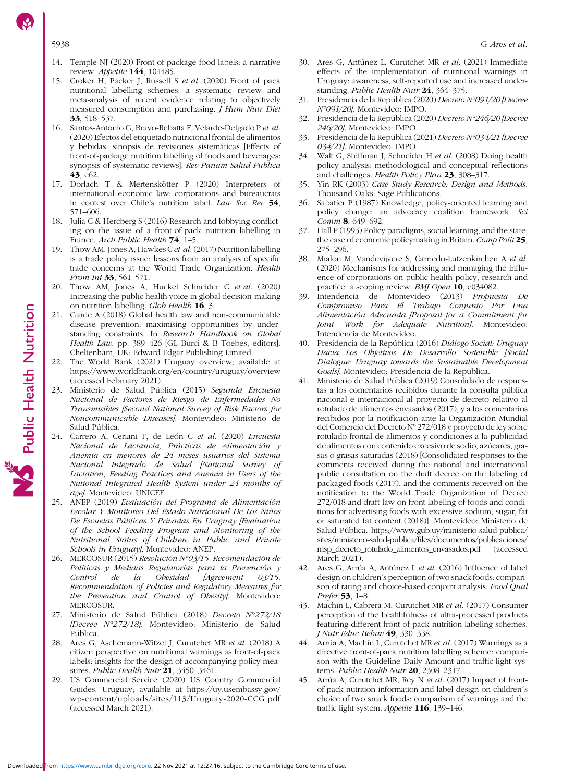- <span id="page-11-0"></span>14. Temple NJ (2020) Front-of-package food labels: a narrative review. Appetite 144, 104485.
- 15. Croker H, Packer J, Russell S et al. (2020) Front of pack nutritional labelling schemes: a systematic review and meta-analysis of recent evidence relating to objectively measured consumption and purchasing. *J Hum Nutr Diet* 33, 518–537.
- 16. Santos-Antonio G, Bravo-Rebatta F, Velarde-Delgado P et al. (2020) Efectos del etiquetado nutricional frontal de alimentos y bebidas: sinopsis de revisiones sistemáticas [Effects of front-of-package nutrition labelling of foods and beverages: synopsis of systematic reviews]. Rev Panam Salud Publica 43, e62.
- 17. Dorlach T & Mertenskötter P (2020) Interpreters of international economic law: corporations and bureaucrats in contest over Chile's nutrition label. Law Soc Rev 54, 571–606.
- 18. Julia C & Hercberg S (2016) Research and lobbying conflicting on the issue of a front-of-pack nutrition labelling in France. Arch Public Health **74**, 1-5.
- 19. Thow AM, Jones A, Hawkes C et al. (2017) Nutrition labelling is a trade policy issue: lessons from an analysis of specific trade concerns at the World Trade Organization. Health Prom Int 33, 561-571.
- Thow AM, Jones A, Huckel Schneider C et al. (2020) Increasing the public health voice in global decision-making on nutrition labelling. Glob Health 16, 3.
- Garde A (2018) Global health law and non-communicable disease prevention: maximising opportunities by understanding constraints. In Research Handbook on Global Health Law, pp. 389-426 [GL Burci & B Toebes, editors]. Cheltenham, UK: Edward Edgar Publishing Limited.
- 22. The World Bank (2021) Uruguay overview; available at <https://www.worldbank.org/en/country/uruguay/overview> (accessed February 2021).
- Ministerio de Salud Pública (2015) Segunda Encuesta Nacional de Factores de Riesgo de Enfermedades No Transmisibles [Second National Survey of Risk Factors for Noncommunicable Diseases]. Montevideo: Ministerio de Salud Pública.
- 24. Carrero A, Ceriani F, de León C et al. (2020) Encuesta Nacional de Lactancia, Prácticas de Alimentación y Anemia en menores de 24 meses usuarios del Sistema Nacional Integrado de Salud [National Survey of Lactation, Feeding Practices and Anemia in Users of the National Integrated Health System under 24 months of age]. Montevideo: UNICEF.
- 25. ANEP (2019) Evaluación del Programa de Alimentación Escolar Y Monitoreo Del Estado Nutricional De Los Niños De Escuelas Públicas Y Privadas En Uruguay [Evaluation of the School Feeding Program and Monitoring of the Nutritional Status of Children in Public and Private Schools in Uruguay]. Montevideo: ANEP.
- 26. MERCOSUR (2015) Resolución N°03/15. Recomendación de Políticas y Medidas Regulatorias para la Prevención y<br>Control de la Obesidad [Agreement 03/15. Control de la Obesidad [Agreement 03/15. Recommendation of Policies and Regulatory Measures for the Prevention and Control of Obesity]. Montevideo: MERCOSUR.
- 27. Ministerio de Salud Pública (2018) Decreto N°272/18 [Decree N°272/18]. Montevideo: Ministerio de Salud Pública.
- 28. Ares G, Aschemann-Witzel J, Curutchet MR et al. (2018) A citizen perspective on nutritional warnings as front-of-pack labels: insights for the design of accompanying policy measures. Public Health Nutr 21, 3450-3461.
- 29. US Commercial Service (2020) US Country Commercial Guides. Uruguay; available at [https://uy.usembassy.gov/](https://uy.usembassy.gov/wp-content/uploads/sites/113/Uruguay-2020-CCG.pdf) [wp-content/uploads/sites/113/Uruguay-2020-CCG.pdf](https://uy.usembassy.gov/wp-content/uploads/sites/113/Uruguay-2020-CCG.pdf) (accessed March 2021).
- 30. Ares G, Antúnez L, Curutchet MR et al. (2021) Immediate effects of the implementation of nutritional warnings in Uruguay: awareness, self-reported use and increased understanding. Public Health Nutr 24, 364-375.
- 31. Presidencia de la República (2020) Decreto N°091/20 [Decree N°091/20]. Montevideo: IMPO.
- 32. Presidencia de la República (2020) Decreto N°246/20 [Decree 246/20]. Montevideo: IMPO.
- 33. Presidencia de la República (2021) Decreto N°034/21 [Decree 034/21]. Montevideo: IMPO.
- 34. Walt G, Shiffman J, Schneider H et al. (2008) Doing health policy analysis: methodological and conceptual reflections and challenges. Health Policy Plan 23, 308-317.
- 35. Yin RK (2003) Case Study Research: Design and Methods. Thousand Oaks: Sage Publications.
- 36. Sabatier P (1987) Knowledge, policy-oriented learning and policy change: an advocacy coalition framework. Sci Comm 8, 649-692.
- 37. Hall P (1993) Policy paradigms, social learning, and the state: the case of economic policymaking in Britain. Comp Polit 25, 275–296.
- 38. Mialon M, Vandevijvere S, Carriedo-Lutzenkirchen A et al. (2020) Mechanisms for addressing and managing the influence of corporations on public health policy, research and practice: a scoping review. BMJ Open 10, e034082.
- 39. Intendencia de Montevideo (2013) Propuesta De Compromiso Para El Trabajo Conjunto Por Una Alimentación Adecuada [Proposal for a Commitment for Joint Work for Adequate Nutrition]. Montevideo: Intendencia de Montevideo.
- 40. Presidencia de la República (2016) Diálogo Social: Uruguay Hacia Los Objetivos De Desarrollo Sostenible [Social Dialogue: Uruguay towards the Sustainable Development Goals]. Montevideo: Presidencia de la República.
- 41. Ministerio de Salud Pública (2019) Consolidado de respuestas a los comentarios recibidos durante la consulta pública nacional e internacional al proyecto de decreto relativo al rotulado de alimentos envasados (2017), y a los comentarios recibidos por la notificación ante la Organización Mundial del Comercio del Decreto Nº 272/018 y proyecto de ley sobre rotulado frontal de alimentos y condiciones a la publicidad de alimentos con contenido excesivo de sodio, azúcares, grasas o grasas saturadas (2018) [Consolidated responses to the comments received during the national and international public consultation on the draft decree on the labeling of packaged foods (2017), and the comments received on the notification to the World Trade Organization of Decree 272/018 and draft law on front labeling of foods and conditions for advertising foods with excessive sodium, sugar, fat or saturated fat content (2018)]. Montevideo: Ministerio de Salud Pública. [https://www.gub.uy/ministerio-salud-publica/](https://www.gub.uy/ministerio-salud-publica/sites/ministerio-salud-publica/files/documentos/publicaciones/msp_decreto_rotulado_alimentos_envasados.pdf) [sites/ministerio-salud-publica/files/documentos/publicaciones/](https://www.gub.uy/ministerio-salud-publica/sites/ministerio-salud-publica/files/documentos/publicaciones/msp_decreto_rotulado_alimentos_envasados.pdf) [msp\\_decreto\\_rotulado\\_alimentos\\_envasados.pdf](https://www.gub.uy/ministerio-salud-publica/sites/ministerio-salud-publica/files/documentos/publicaciones/msp_decreto_rotulado_alimentos_envasados.pdf) (accessed March 2021).
- 42. Ares G, Arrúa A, Antúnez L et al. (2016) Influence of label design on children's perception of two snack foods: comparison of rating and choice-based conjoint analysis. Food Qual Prefer 53, 1–8.
- 43. Machín L, Cabrera M, Curutchet MR et al. (2017) Consumer perception of the healthfulness of ultra-processed products featuring different front-of-pack nutrition labeling schemes. J Nutr Educ Behav 49, 330–338.
- 44. Arrúa A, Machín L, Curutchet MR et al. (2017) Warnings as a directive front-of-pack nutrition labelling scheme: comparison with the Guideline Daily Amount and traffic-light systems. Public Health Nutr 20, 2308-2317.
- 45. Arrúa A, Curutchet MR, Rey N et al. (2017) Impact of frontof-pack nutrition information and label design on children´s choice of two snack foods: comparison of warnings and the traffic light system. Appetite 116, 139-146.

Downloaded from<https://www.cambridge.org/core>. 22 Nov 2021 at 12:27:16, subject to the Cambridge Core terms of use.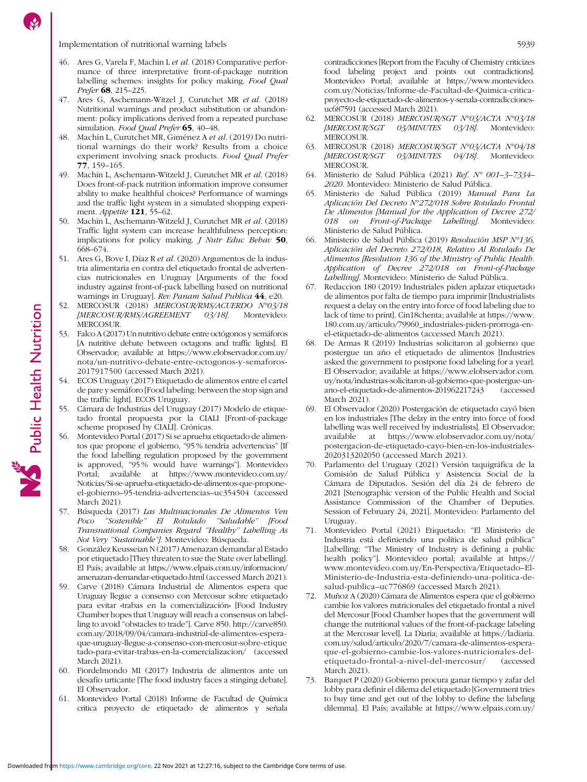<span id="page-12-0"></span>Implementation of nutritional warning labels 5939

- 46. Ares G, Varela F, Machin L et al. (2018) Comparative performance of three interpretative front-of-package nutrition labelling schemes: insights for policy making. Food Qual Prefer **68**, 215-225.
- 47. Ares G, Aschemann-Witzel J, Curutchet MR et al. (2018) Nutritional warnings and product substitution or abandonment: policy implications derived from a repeated purchase simulation. Food Qual Prefer **65**, 40–48.
- 48. Machín L, Curutchet MR, Giménez A et al. (2019) Do nutritional warnings do their work? Results from a choice experiment involving snack products. Food Qual Prefer 77, 159–165.
- 49. Machín L, Aschemann-Witzeld J, Curutchet MR et al. (2018) Does front-of-pack nutrition information improve consumer ability to make healthful choices? Performance of warnings and the traffic light system in a simulated shopping experiment. *Appetite* **121**, 55-62.
- 50. Machín L, Aschemann-Witzeld J, Curutchet MR et al. (2018) Traffic light system can increase healthfulness perception: implications for policy making. J Nutr Educ Behav 50, 668–674.
- 51. Ares G, Bove I, Díaz R et al. (2020) Argumentos de la industria alimentaria en contra del etiquetado frontal de advertencias nutricionales en Uruguay [Arguments of the food industry against front-of-pack labelling based on nutritional warnings in Uruguay]. Rev Panam Salud Publica 44, e20.
- 52. MERCOSUR (2018) MERCOSUR/RMS/ACUERDO N°03/18 [MERCOSUR/RMS/AGREEMENT 03/18]. Montevideo: MERCOSUR.
- 53. Falco A (2017) Un nutritivo debate entre octógonos y semáforos [A nutritive debate between octagons and traffic lights]. El Observador; available at [https://www.elobservador.com.uy/](https://www.elobservador.com.uy/nota/un-nutritivo-debate-entre-octogonos-y-semaforos-2017917500) [nota/un-nutritivo-debate-entre-octogonos-y-semaforos-](https://www.elobservador.com.uy/nota/un-nutritivo-debate-entre-octogonos-y-semaforos-2017917500)[2017917500](https://www.elobservador.com.uy/nota/un-nutritivo-debate-entre-octogonos-y-semaforos-2017917500) (accessed March 2021).
- 54. ECOS Uruguay (2017) Etiquetado de alimentos entre el cartel de pare y semáforo [Food labeling: between the stop sign and the traffic light]. ECOS Uruguay.

Public Health Nutrition

- 55. Cámara de Industrias del Uruguay (2017) Modelo de etiquetado frontal propuesta por la CIALI [Front-of-package scheme proposed by CIALI]. Crónicas.
- 56. Montevideo Portal (2017) Si se aprueba etiquetado de alimentos que propone el gobierno, "95 % tendría advertencias" [If the food labelling regulation proposed by the government is approved, "95 % would have warnings"]. Montevideo Portal; available at [https://www.montevideo.com.uy/](https://www.montevideo.com.uy/Noticias/Si-se-aprueba-etiquetado-de-alimentos-que-propone-el-gobierno--95-tendria-advertencias--uc354504) [Noticias/Si-se-aprueba-etiquetado-de-alimentos-que-propone](https://www.montevideo.com.uy/Noticias/Si-se-aprueba-etiquetado-de-alimentos-que-propone-el-gobierno--95-tendria-advertencias--uc354504)el-gobierno–[95-tendria-advertencias](https://www.montevideo.com.uy/Noticias/Si-se-aprueba-etiquetado-de-alimentos-que-propone-el-gobierno--95-tendria-advertencias--uc354504)–uc354504 (accessed March 2021).
- 57. Búsqueda (2017) Las Multinacionales De Alimentos Ven Poco "Sostenible" El Rotulado "Saludable" [Food Transnational Companies Regard "Healthy" Labelling As Not Very "Sustainable"]. Montevideo: Búsqueda.
- 58. González Keusseian N (2017) Amenazan demandar al Estado por etiquetado [They threaten to sue the State over labelling]. El País; available at [https://www.elpais.com.uy/informacion/](https://www.elpais.com.uy/informacion/amenazan-demandar-etiquetado.html) [amenazan-demandar-etiquetado.html](https://www.elpais.com.uy/informacion/amenazan-demandar-etiquetado.html) (accessed March 2021).
- 59. Carve (2018) Cámara Industrial de Alimentos espera que Uruguay llegue a consenso con Mercosur sobre etiquetado para evitar «trabas en la comercialización» [Food Industry Chamber hopes that Uruguay will reach a consensus on labelling to avoid "obstacles to trade"]. Carve 850. [http://carve850.](http://carve850.com.uy/2018/09/04/camara-industrial-de-alimentos-espera-que-uruguay-llegue-a-consenso-con-mercosur-sobre-etiquetado-para-evitar-trabas-en-la-comercializacion/) [com.uy/2018/09/04/camara-industrial-de-alimentos-espera](http://carve850.com.uy/2018/09/04/camara-industrial-de-alimentos-espera-que-uruguay-llegue-a-consenso-con-mercosur-sobre-etiquetado-para-evitar-trabas-en-la-comercializacion/)[que-uruguay-llegue-a-consenso-con-mercosur-sobre-etique](http://carve850.com.uy/2018/09/04/camara-industrial-de-alimentos-espera-que-uruguay-llegue-a-consenso-con-mercosur-sobre-etiquetado-para-evitar-trabas-en-la-comercializacion/) [tado-para-evitar-trabas-en-la-comercializacion/](http://carve850.com.uy/2018/09/04/camara-industrial-de-alimentos-espera-que-uruguay-llegue-a-consenso-con-mercosur-sobre-etiquetado-para-evitar-trabas-en-la-comercializacion/) (accessed March 2021).
- 60. Fiordelmondo MI (2017) Industria de alimentos ante un desafío urticante [The food industry faces a stinging debate]. El Observador.
- 61. Montevideo Portal (2018) Informe de Facultad de Química critica proyecto de etiquetado de alimentos y señala

contradicciones [Report from the Faculty of Chemistry criticizes food labeling project and points out contradictions]. Montevideo Portal; available at [https://www.montevideo.](https://www.montevideo.com.uy/Noticias/Informe-de-Facultad-de-Quimica-critica-proyecto-de-etiquetado-de-alimentos-y-senala-contradicciones-uc687591) [com.uy/Noticias/Informe-de-Facultad-de-Quimica-critica](https://www.montevideo.com.uy/Noticias/Informe-de-Facultad-de-Quimica-critica-proyecto-de-etiquetado-de-alimentos-y-senala-contradicciones-uc687591)[proyecto-de-etiquetado-de-alimentos-y-senala-contradicciones](https://www.montevideo.com.uy/Noticias/Informe-de-Facultad-de-Quimica-critica-proyecto-de-etiquetado-de-alimentos-y-senala-contradicciones-uc687591)[uc687591](https://www.montevideo.com.uy/Noticias/Informe-de-Facultad-de-Quimica-critica-proyecto-de-etiquetado-de-alimentos-y-senala-contradicciones-uc687591) (accessed March 2021).

- 62. MERCOSUR (2018) MERCOSUR/SGT N°03/ACTA N°03/18 [MERCOSUR/SGT 03/MINUTES 03/18]. Montevideo: [MERCOSUR/SGT 03/MINUTES 03/18]. Montevideo: MERCOSUR.
- 63. MERCOSUR (2018) MERCOSUR/SGT N°03/ACTA N°04/18 [MERCOSUR/SGT 03/MINUTES 04/18]. Montevideo: [MERCOSUR/SGT 03/MINUTES 04/18]. Montevideo: MERCOSUR.
- 64. Ministerio de Salud Pública (2021) Ref. Nº 001–3–7334– 2020. Montevideo: Ministerio de Salud Pública.
- 65. Ministerio de Salud Pública (2019) Manual Para La Aplicación Del Decreto N°272/018 Sobre Rotulado Frontal De Alimentos [Manual for the Application of Decree 272/ 018 on Front-of-Package Labelling]. Montevideo: Ministerio de Salud Pública.
- 66. Ministerio de Salud Pública (2019) Resolución MSP N°136, Aplicación del Decreto 272/018, Relativo Al Rotulado De Alimentos [Resolution 136 of the Ministry of Public Health. Application of Decree 272/018 on Front-of-Package Labelling]. Montevideo: Ministerio de Salud Pública.
- 67. Redaccion 180 (2019) Industriales piden aplazar etiquetado de alimentos por falta de tiempo para imprimir [Industrialists request a delay on the entry into force of food labeling due to lack of time to print]. Cin18chenta; available at [https://www.](https://www.180.com.uy/articulo/79960_industriales-piden-prorroga-en-el-etiquetado-de-alimentos) [180.com.uy/articulo/79960\\_industriales-piden-prorroga-en](https://www.180.com.uy/articulo/79960_industriales-piden-prorroga-en-el-etiquetado-de-alimentos)[el-etiquetado-de-alimentos](https://www.180.com.uy/articulo/79960_industriales-piden-prorroga-en-el-etiquetado-de-alimentos) (accessed March 2021).
- 68. De Armas R (2019) Industrias solicitaron al gobierno que postergue un año el etiquetado de alimentos [Industries asked the government to postpone food labeling for a year]. El Observador; available at [https://www.elobservador.com.](https://www.elobservador.com.uy/nota/industrias-solicitaron-al-gobierno-que-postergue-un-ano-el-etiquetado-de-alimentos-201962217243) [uy/nota/industrias-solicitaron-al-gobierno-que-postergue-un](https://www.elobservador.com.uy/nota/industrias-solicitaron-al-gobierno-que-postergue-un-ano-el-etiquetado-de-alimentos-201962217243)[ano-el-etiquetado-de-alimentos-201962217243](https://www.elobservador.com.uy/nota/industrias-solicitaron-al-gobierno-que-postergue-un-ano-el-etiquetado-de-alimentos-201962217243) (accessed March 2021).
- 69. El Observador (2020) Postergación de etiquetado cayó bien en los industriales [The delay in the entry into force of food labelling was well received by industrialists]. El Observador; available at [https://www.elobservador.com.uy/nota/](https://www.elobservador.com.uy/nota/postergacion-de-etiquetado-cayo-bien-en-los-industriales-2020313202050) [postergacion-de-etiquetado-cayo-bien-en-los-industriales-](https://www.elobservador.com.uy/nota/postergacion-de-etiquetado-cayo-bien-en-los-industriales-2020313202050)[2020313202050](https://www.elobservador.com.uy/nota/postergacion-de-etiquetado-cayo-bien-en-los-industriales-2020313202050) (accessed March 2021).
- 70. Parlamento del Uruguay (2021) Versión taquigráfica de la Comisión de Salud Pública y Asistencia Social de la Cámara de Diputados. Sesión del día 24 de febrero de 2021 [Stenographic version of the Public Health and Social Assistance Commission of the Chamber of Deputies. Session of February 24, 2021]. Montevideo: Parlamento del Uruguay.
- 71. Montevideo Portal (2021) Etiquetado: "El Ministerio de Industria está definiendo una política de salud pública" [Labelling: "The Ministry of Industry is defining a public health policy"]. Montevideo portal; available at [https://](https://www.montevideo.com.uy/En-Perspectiva/Etiquetado--El-Ministerio-de-Industria-esta-definiendo-una-politica-de-salud-publica--uc776869) [www.montevideo.com.uy/En-Perspectiva/Etiquetado](https://www.montevideo.com.uy/En-Perspectiva/Etiquetado--El-Ministerio-de-Industria-esta-definiendo-una-politica-de-salud-publica--uc776869)–El-[Ministerio-de-Industria-esta-definiendo-una-politica-de](https://www.montevideo.com.uy/En-Perspectiva/Etiquetado--El-Ministerio-de-Industria-esta-definiendo-una-politica-de-salud-publica--uc776869)[salud-publica](https://www.montevideo.com.uy/En-Perspectiva/Etiquetado--El-Ministerio-de-Industria-esta-definiendo-una-politica-de-salud-publica--uc776869)–uc776869 (accessed March 2021).
- 72. Muñoz A (2020) Cámara de Alimentos espera que el gobierno cambie los valores nutricionales del etiquetado frontal a nivel del Mercosur [Food Chamber hopes that the government will change the nutritional values of the front-of-package labeling at the Mercosur level]. La Diaria; available at [https://ladiaria.](https://ladiaria.com.uy/salud/articulo/2020/7/camara-de-alimentos-espera-que-el-gobierno-cambie-los-valores-nutricionales-del-etiquetado-frontal-a-nivel-del-mercosur/) [com.uy/salud/articulo/2020/7/camara-de-alimentos-espera](https://ladiaria.com.uy/salud/articulo/2020/7/camara-de-alimentos-espera-que-el-gobierno-cambie-los-valores-nutricionales-del-etiquetado-frontal-a-nivel-del-mercosur/)[que-el-gobierno-cambie-los-valores-nutricionales-del](https://ladiaria.com.uy/salud/articulo/2020/7/camara-de-alimentos-espera-que-el-gobierno-cambie-los-valores-nutricionales-del-etiquetado-frontal-a-nivel-del-mercosur/)[etiquetado-frontal-a-nivel-del-mercosur/](https://ladiaria.com.uy/salud/articulo/2020/7/camara-de-alimentos-espera-que-el-gobierno-cambie-los-valores-nutricionales-del-etiquetado-frontal-a-nivel-del-mercosur/) (accessed March 2021).
- 73. Barquet P (2020) Gobierno procura ganar tiempo y zafar del lobby para definir el dilema del etiquetado [Government tries to buy time and get out of the lobby to define the labeling dilemma]. El País; available at [https://www.elpais.com.uy/](https://www.elpais.com.uy/que-pasa/gobierno-procura-ganar-zafar-lobby-definir-dilema-etiquetado.html)